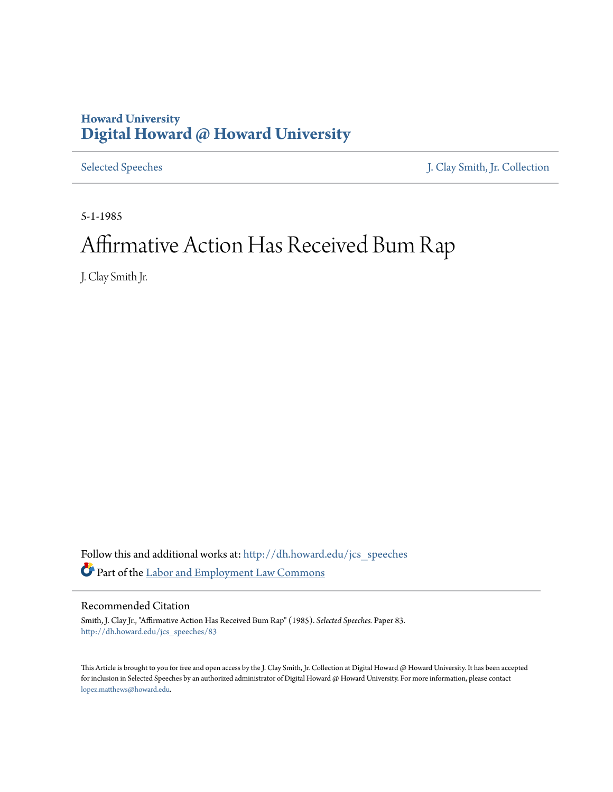## **Howard University [Digital Howard @ Howard University](http://dh.howard.edu?utm_source=dh.howard.edu%2Fjcs_speeches%2F83&utm_medium=PDF&utm_campaign=PDFCoverPages)**

[Selected Speeches](http://dh.howard.edu/jcs_speeches?utm_source=dh.howard.edu%2Fjcs_speeches%2F83&utm_medium=PDF&utm_campaign=PDFCoverPages) [J. Clay Smith, Jr. Collection](http://dh.howard.edu/jcsmith?utm_source=dh.howard.edu%2Fjcs_speeches%2F83&utm_medium=PDF&utm_campaign=PDFCoverPages)

5-1-1985

## Affirmative Action Has Received Bum Rap

J. Clay Smith Jr.

Follow this and additional works at: [http://dh.howard.edu/jcs\\_speeches](http://dh.howard.edu/jcs_speeches?utm_source=dh.howard.edu%2Fjcs_speeches%2F83&utm_medium=PDF&utm_campaign=PDFCoverPages) Part of the [Labor and Employment Law Commons](http://network.bepress.com/hgg/discipline/909?utm_source=dh.howard.edu%2Fjcs_speeches%2F83&utm_medium=PDF&utm_campaign=PDFCoverPages)

## Recommended Citation

Smith, J. Clay Jr., "Affirmative Action Has Received Bum Rap" (1985). *Selected Speeches.* Paper 83. [http://dh.howard.edu/jcs\\_speeches/83](http://dh.howard.edu/jcs_speeches/83?utm_source=dh.howard.edu%2Fjcs_speeches%2F83&utm_medium=PDF&utm_campaign=PDFCoverPages)

This Article is brought to you for free and open access by the J. Clay Smith, Jr. Collection at Digital Howard @ Howard University. It has been accepted for inclusion in Selected Speeches by an authorized administrator of Digital Howard @ Howard University. For more information, please contact [lopez.matthews@howard.edu.](mailto:lopez.matthews@howard.edu)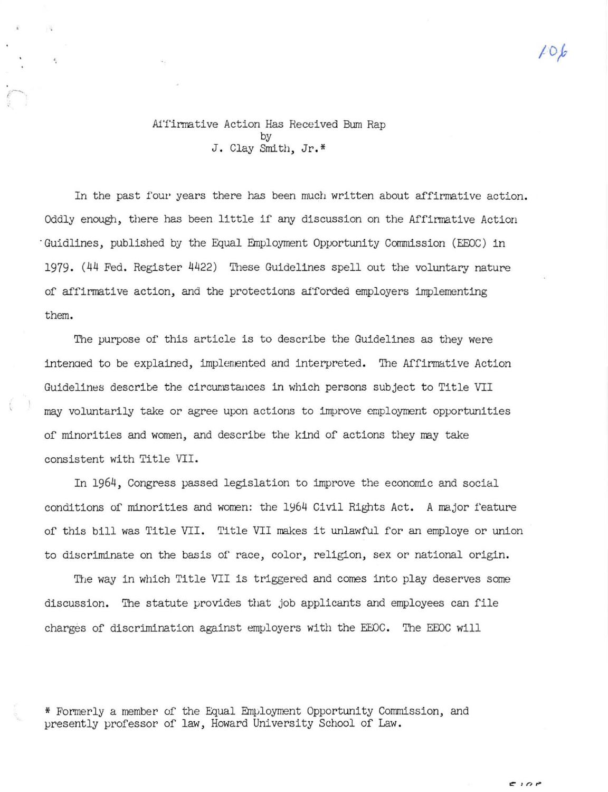10k

## Affirmative Action Has Received Bum Rap by J. Clay Smith, Jr.\*

In the past four years there has been much written about affirmative action. Oddly enough, there has been little if any discussion on the Affirmative Action Guidlines, published by the Equal Employment Opportunity Commission (EEOC) in 1979. (44 Fed. Register 4422) These Guidelines spell out the voluntary nature of affirmative action, and the protections afforded employers implementing them.

The purpose of this article is to describe the Guidelines as they were intenaed to be explained, implemented and interpreted. The Affirmative Action Guidelines describe the circumstances in which persons subject to Title VII may voluntarily take or agree upon actions to improve employment opportunities of minorities and women, and describe the kind of actions they may take consistent with Title VII.

In 1964, Congress passed legislation to improve the economic and social conditions of minorities and women: the 1964 Civil Rights Act. A major feature of this bill was Title VII. Title VII makes it unlawful for an employe or union to discriminate on the basis of race, color, religion, sex or national origin.

The way in which Title VII is triggered and comes into play deserves some discussion. The statute provides that job applicants and employees can file charges of discrimination against employers with the EEOC. The EEOC will

\* Formerly a member of the Equal Employment Opportunity Commission, and presently professor of law, Howard University School of Law.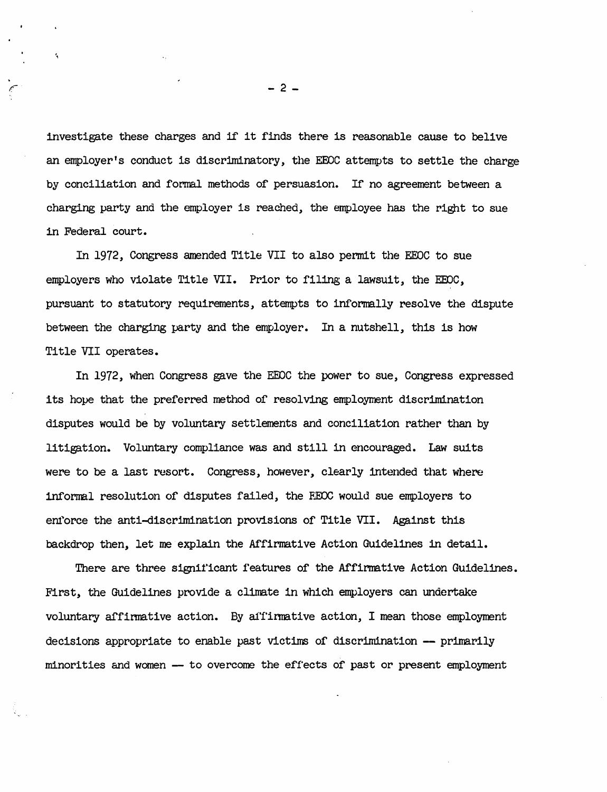investigate these charges and if it finds there is reasonable cause to belive an employer's conduct is discriminatory, the EEOC attempts to settle the charge by conciliation and formal methods of persuasion. If no agreement between a charging party and the employer is reached, the employee has the right to sue in Federal court.

In 1972, Congress amended Title VII to also permit the EEOC to sue employers who violate Title VII. Prior to filing a lawsuit, the EEOC, pursuant to statutory requirements, attempts to informally resolve the dispute between the charging party and the employer. In a nutshell, this is how Title VII operates.

In 1972, when Congress gave the EEOC the power to sue, Congress expressed its hope that the preferred method of resolving employment discrimination disputes would be by voluntary settlements and conciliation rather than by litigation. Voluntary compliance was and still in encouraged. Law suits were to be a last resort. Congress, however, clearly intended that where informal resolution of disputes failed, the FEOC would sue employers to enforce the anti-discrimination provisions of Title VII. Against this backdrop then, let me explain the Affirmative Action Guidelines in detail.

There are three significant features of the Affirmative Action Guidelines. First, the Guidelines provide a climate in which employers can undertake voluntary affirmative action. By a1Tinnative action, I mean those employment decisions appropriate to enable past victims of discrimination -- primarily minorities and women - to overcome the effects of past or present employment

 $- 2 -$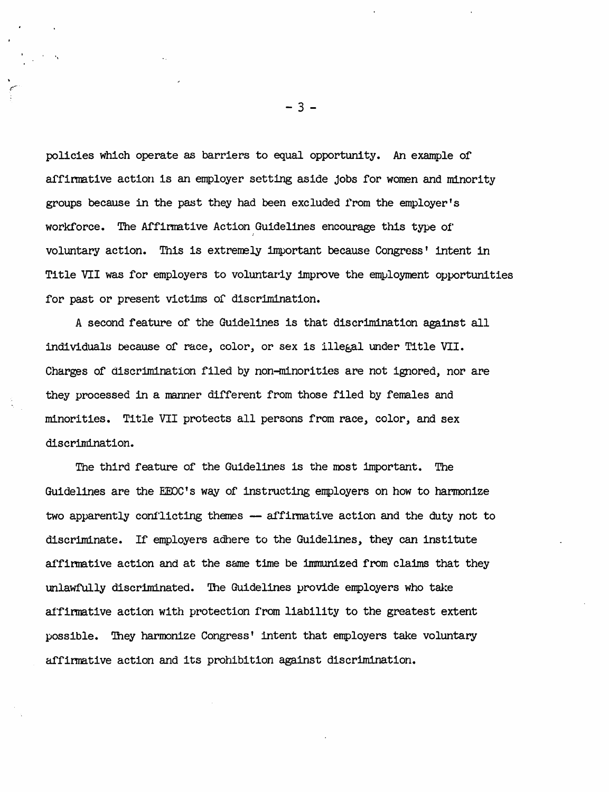policies which operate as barriers to equal opportunity. An example of affinnative action is an employer setting aside jobs for women and minority groups because in the past they had been excluded from the employer's workforce. The Affirmative Action Guidelines encourage this type of voluntary action. This is extremely important because Congress' intent in Title VII was for employers to voluntariy improve the employment opportunities for past or present victims of discrimination.

A second feature of the Guidelines is that discrimination against all individuals because of race, color, or sex is illegal under Title VII. Charges of discrimination filed by non-minorities are not ignored, nor are they processed in a manner different from those filed by females and minorities. Title VII protects all persons from race, color, and sex discrimination.

The third feature of the Guidelines is the most important. The Guidelines are the EEOC's way of instructing employers on how to harmonize two apparently conflicting themes - affirmative action and the duty not to discriminate. If employers adhere to the Guidelines, they can institute affirmative action and at the same time be immunized from claims that they unlawfully discriminated. 'Ihe Guidelines provide employers who take affirmative action with protection from liability to the greatest extent possible. 'Ihey harmonize Congress' intent that employers take voluntary affirmative action and its prohibition against discrimination.

- 3 -

"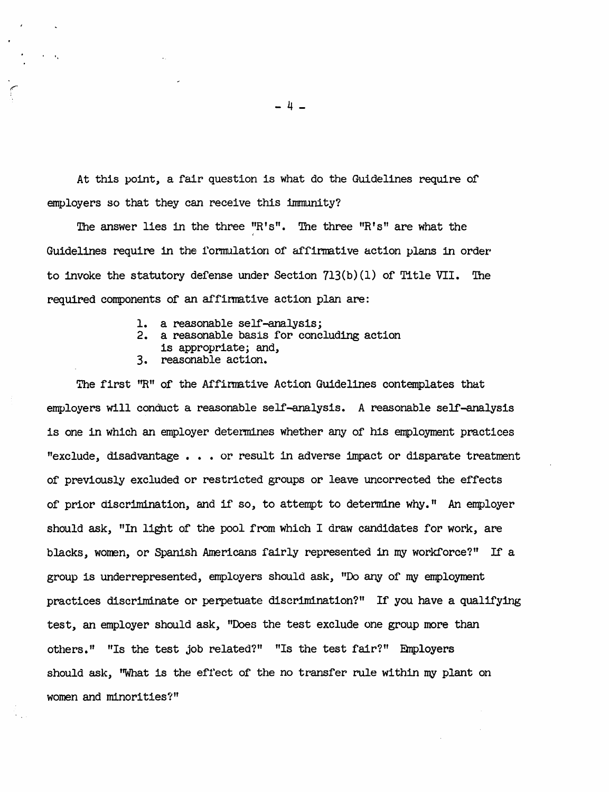At this point, a fair question is what do the Guidelines require of employers so that they can receive this immunity?

The answer lies in the three  $"R's"$ . The three  $"R's"$  are what the Guidelines require in the formulation of affirmative action plans in order' to invoke the statutory defense under Section  $713(b)(1)$  of Title VII. The required components of an affinmative action plan are:

- 1. a reasonable self-analysis;
- 2. a reasonable basis for concluding action
- is appropriate; and,
- 3. reasonable action.

'.

The first ''R'' of the Affinmative Action Guidelines contemplates that employers will conduct a reasonable self-analysis. A reasonable self-analysis is one in which an employer determines whether any of his employment practices "exclude, disadvantage • • • or result in adverse impact or disparate treatment of previously excluded or restricted groups or leave uncorrected the effects of prior discrimination, and if so, to attempt to determine why." An employer should ask, "In light of the pool from which I draw candidates for work, are blacks, women, or Spanish Americans fairly represented in my workforce?" If a group is underrepresented, employers should ask, "Do any of my employment practices discriminate or perpetuate discrimination?" If you have a qualifying test, an employer should ask, "Does the test exclude one group more than others." "Is the test job related?" "Is the test fair?" Employers should ask, "What is the effect of the no transfer rule within my plant on women and minorities?"

- 4 -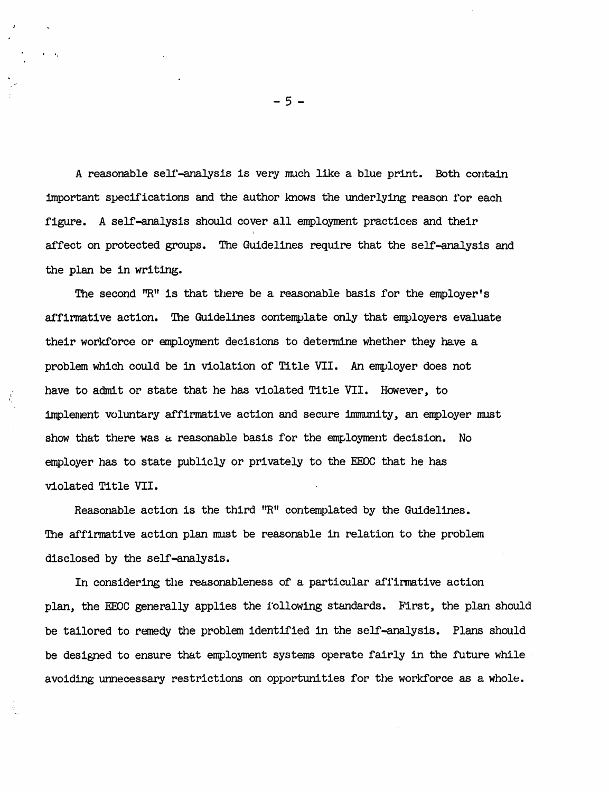A reasonable self-analysis is very much like a blue print. Both contain important specifications and the author knows the underlying reason for each figure. A self-analysis should cover all employment practices and their affect on protected groups. The Guidelines require that the selr-analysis and the plan be in writing.

The second "R" is that there be a reasonable basis for the employer's affirmative action. The Guidelines contemplate only that employers evaluate their workforce or employment decisions to determine whether they have a problem which could be in violation of Title VII. An employer does not have to admit or state that he has violated Title VII. However, to implement voluntary affirmative action and secure 1nmnm1ty, an employer must show that there was a reasonable basis for the employment decision. No employer has to state publicly or privately to the EEOC that he has violated Title VII.

Reasonable action is the third "R" contemplated by the Guidelines. The affirmative action plan must be reasonable in relation to the problem disclosed by the self-analysis.

In considering the reasonableness of a particular affirmative action plan, the EEOC generally applies the following standards. First, the plan should be tailored to remedy the problem identified in the selr-analysis. Plans should be designed to ensure that employment systems operate fairly in the future while avoiding unnecessary restrictions on opportunities for the workforce as a whole.

 $-5 -$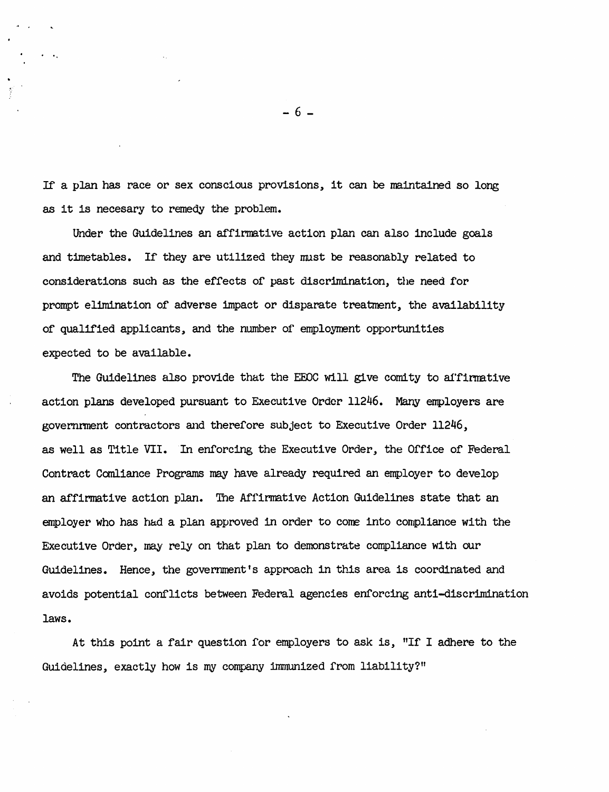If a plan has race or sex conscious provisions, it can be maintained so long as it is necesary to remedy the problem.

A •

Under the Guidelines an affirmative action plan can also include goals and timetables. If they are utilized they must be reasonably related to considerations such as the effects of past discrimination, the need for prompt elimination of adverse impact or dispanate treatment, the availability of qualified applicants, and the number of employment opportunities expected to be available.

The Guidelines also provide that the EEOC will give comity to affirmative action plans developed pursuant to Executive Order 11246. Many employers are government contractors and therefore subject to Executive Order 11246, as well as Title VII. In enforcing the Executive Order, the Office of Federal Contract Com1iance Programs may have already required an employer to develop an affirmative action plan. The Affirmative Action Guidelines state that an employer who has had a plan approved in order to come into compliance with the Executive Order, may rely on that plan to demonstrate compliance with our Guidelines. Hence, the government's approach in this area is coordinated and avoids potential conflicts between Fedenal agencies enforcing anti-discrimination laws.

At this point a fair questlon for employers to ask Is, "If I adhere to the Guidelines, exactly how is my company immunized from liability?"

- 6 -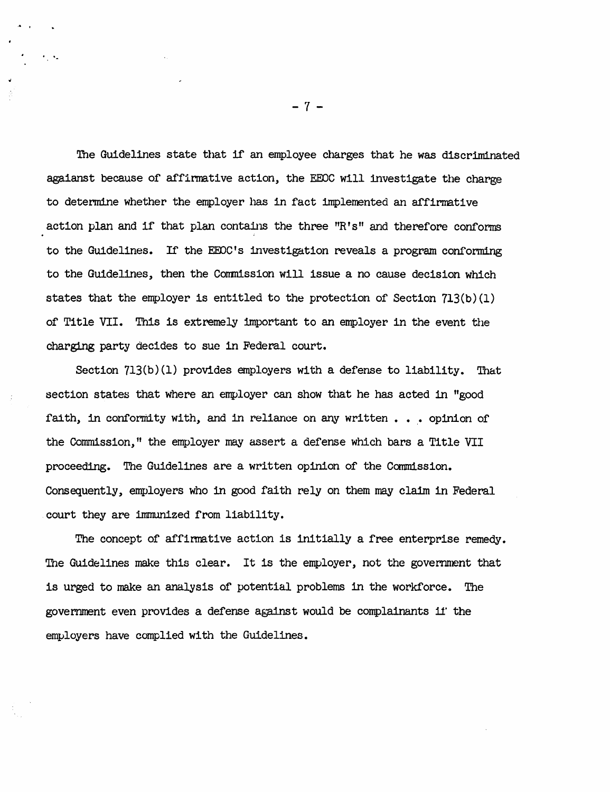The Guidelines state that if an employee charges that he was discriminated agaianst because of affirmative action, the EEOC will investigate the charge to determine whether the employer has in fact implemented an affirmative action plan and if that plan contains the three "R's" and therefore conforms to the Guidelines. If the EEOC's investigation reveals a program conforming to the Guidelines, then the Commission will issue a no cause decision which states that the employer is entitled to the protection of Section  $713(b)(1)$ of Title VII. This is extremely important to an employer in the event the charging party decides to sue in Federal court.

Section 713(b)(I) provides employers with a defense to liability. That section states that where an employer can show that he has acted in "good faith, in conformity with, and in reliance on any written  $\ldots$  opinion of the Commdssion," the employer may assert a defense which bars a Title VII proceeding. The Guidelines are a written opinion of the Commission. Consequently, employers who in good faith rely on them may claim in Federal court they are immunized from liability.

The concept of affinnative action is initially a free enterprise remedy. The Guidelines make this clear. It is the employer, not the government that is urged to make an analysis of potential problems in the workforce. The government even provides a defense against would be complainants 11' the employers have complied with the Guidelines.

-7-